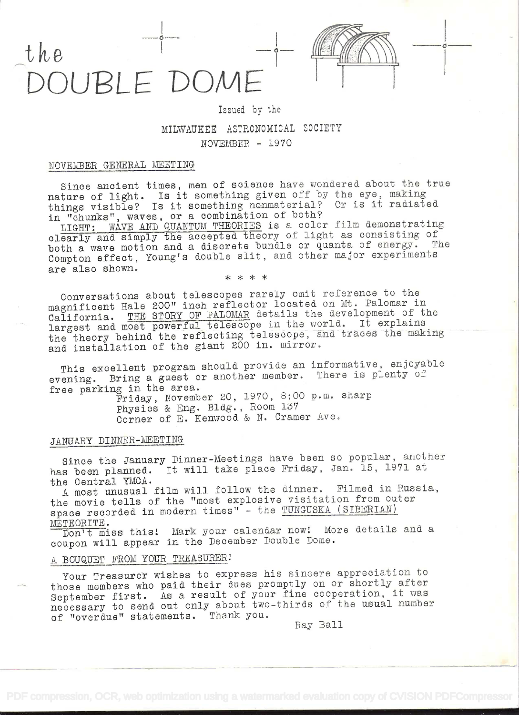# the  $-\frac{1}{2}$   $-\frac{1}{2}$   $-\frac{1}{2}$ the<br>DOUBLE DOME



## Issued by the

## MILWAUKEE ASTRONOMICAL SOCIETY NOVEMBER - 1970

## NOVEMBER GENERAL MEETING

Since ancient times, men of science have wondered about the true nature of light. Is it something given off by the eye, making things visible? Is it something nonmaterial? Or is it radiated. in "chunks", waves, or a combination of both?

LIGHT: WAVE AND QUANTUM THEORIES is a color film demonstrating clearly and simply the accepted theory of light as consisting of both a wave motion and a discrete bundle or quanta of energy. Compton effect, Young's double slit, and other major experiments are also shown.

 $* *$ 

Conversations about telescopes rarely omit reference to the magnificent Hale 2OO' inch reflector located on Mt. Palomar in California. THE STORY OF PALOMAR details the development of the dargest and most powerful telescope in the world. It explains the theory behind the reflecting telescope, and traces the making and installation of the giant 200 in. mirror.

This excellent program should provide an informative, enjoyable evening. Bring a guest or another member. There is plenty of free parking in the area.

Friday, November 20, 1970, 8:00 p.m. sharp Physics & Eng. Bldg., Room 137 Corner of E. Kenwood & N. Cramer Ave.

## JANUARY DINNER-MEETING

Since the January Dinner-Meetings have been so popular, another has been planned. It will take place Friday, Jan. 15, 1971 at the Central YMCA.

the Central YMCA.<br>A most unusual film will follow the dinner. Filmed in Russia, the movie tells of the "most explosive visitation from outer space recorded in modern times" - the TUNGUSKA (SIBERIAN)

METEORITE.<br>Don't miss this! Mark your calendar now! More details and a coupon will appear in the December Double Dome.

## A BOUQUET FROM YOUR TREASURER!

Your Treasurer wishes to express his sincere appreciation to those members who paid their dues promptly on or shortly after September first. As a result of your fine cooperation, it was necessary to send out only about two-thirds of the usual number of "overdue" statements. Thank you.

Ray Ball